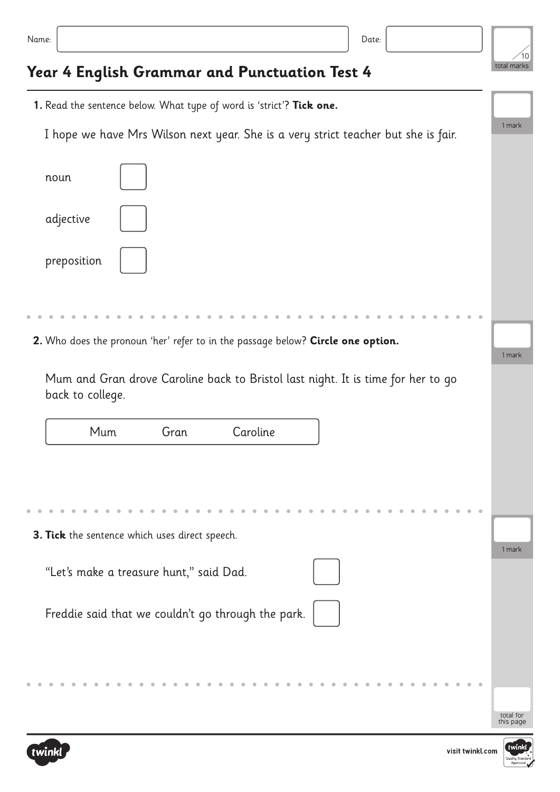| .<br>×<br>۰.<br>×<br>×<br>٠ |  |  |  |
|-----------------------------|--|--|--|
|-----------------------------|--|--|--|

## **Year 4 English Grammar and Punctuation Test 4**

| 1. Read the sentence below. What type of word is 'strict'? Tick one.                                 |           |
|------------------------------------------------------------------------------------------------------|-----------|
| I hope we have Mrs Wilson next year. She is a very strict teacher but she is fair.                   | 1 mark    |
| noun                                                                                                 |           |
| adjective                                                                                            |           |
| preposition                                                                                          |           |
|                                                                                                      |           |
| 2. Who does the pronoun 'her' refer to in the passage below? Circle one option.                      | 1 mark    |
| Mum and Gran drove Caroline back to Bristol last night. It is time for her to go<br>back to college. |           |
| Mum<br>Gran<br>Caroline                                                                              |           |
|                                                                                                      |           |
| 3. Tick the sentence which uses direct speech.                                                       |           |
| "Let's make a treasure hunt," said Dad.                                                              | 1 mark    |
| Freddie said that we couldn't go through the park.                                                   |           |
|                                                                                                      | total for |



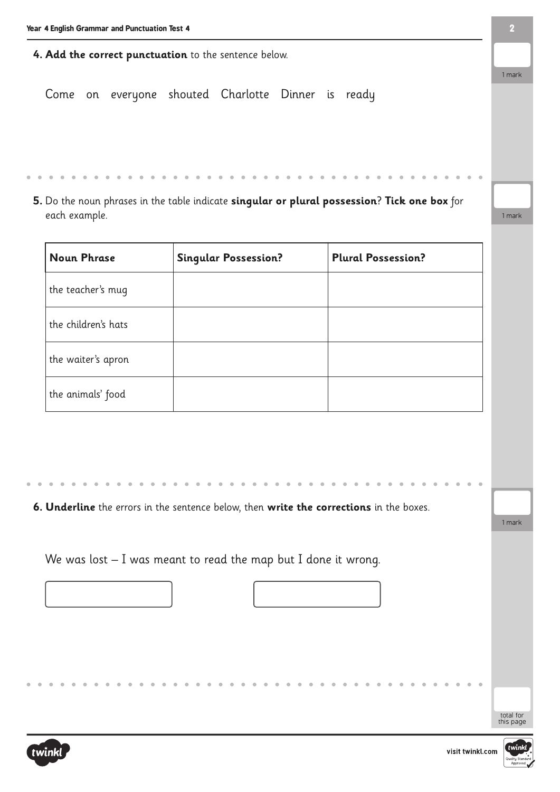| 4. Add the correct punctuation to the sentence below.                                        |        |
|----------------------------------------------------------------------------------------------|--------|
|                                                                                              | 1 mark |
| Come on everyone shouted Charlotte Dinner is ready                                           |        |
|                                                                                              |        |
|                                                                                              |        |
|                                                                                              |        |
| 5. Do the noun phrases in the table indicate singular or plural possession? Tick one box for |        |
| each example.                                                                                | 1 mark |

| <b>Noun Phrase</b>  | <b>Singular Possession?</b> | <b>Plural Possession?</b> |
|---------------------|-----------------------------|---------------------------|
| the teacher's mug   |                             |                           |
| the children's hats |                             |                           |
| the waiter's apron  |                             |                           |
| the animals' food   |                             |                           |

**6. Underline** the errors in the sentence below, then **write the corrections** in the boxes.

We was lost – I was meant to read the map but I done it wrong.





1 mark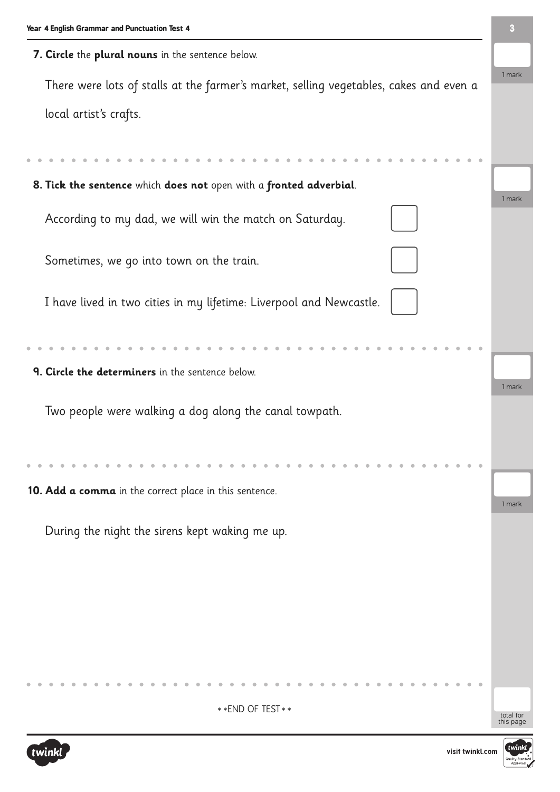| Year 4 English Grammar and Punctuation Test 4                                          |        |
|----------------------------------------------------------------------------------------|--------|
| 7. Circle the plural nouns in the sentence below.                                      |        |
| There were lots of stalls at the farmer's market, selling vegetables, cakes and even a | 1 mark |
| local artist's crafts.                                                                 |        |
|                                                                                        |        |
| 8. Tick the sentence which does not open with a fronted adverbial.                     |        |
|                                                                                        | 1 mark |
| According to my dad, we will win the match on Saturday.                                |        |
| Sometimes, we go into town on the train.                                               |        |
|                                                                                        |        |
| I have lived in two cities in my lifetime: Liverpool and Newcastle.                    |        |
|                                                                                        |        |
|                                                                                        |        |
| 9. Circle the determiners in the sentence below.                                       |        |
|                                                                                        | 1 mark |
| Two people were walking a dog along the canal towpath.                                 |        |
|                                                                                        |        |
|                                                                                        |        |
|                                                                                        |        |
|                                                                                        |        |
| 10. Add a comma in the correct place in this sentence.                                 | 1 mark |
|                                                                                        |        |
| During the night the sirens kept waking me up.                                         |        |
|                                                                                        |        |
|                                                                                        |        |
|                                                                                        |        |
|                                                                                        |        |
|                                                                                        |        |
|                                                                                        |        |
|                                                                                        |        |
|                                                                                        |        |
|                                                                                        |        |
| ** END OF TEST **                                                                      |        |

total for<br>this page





**3**